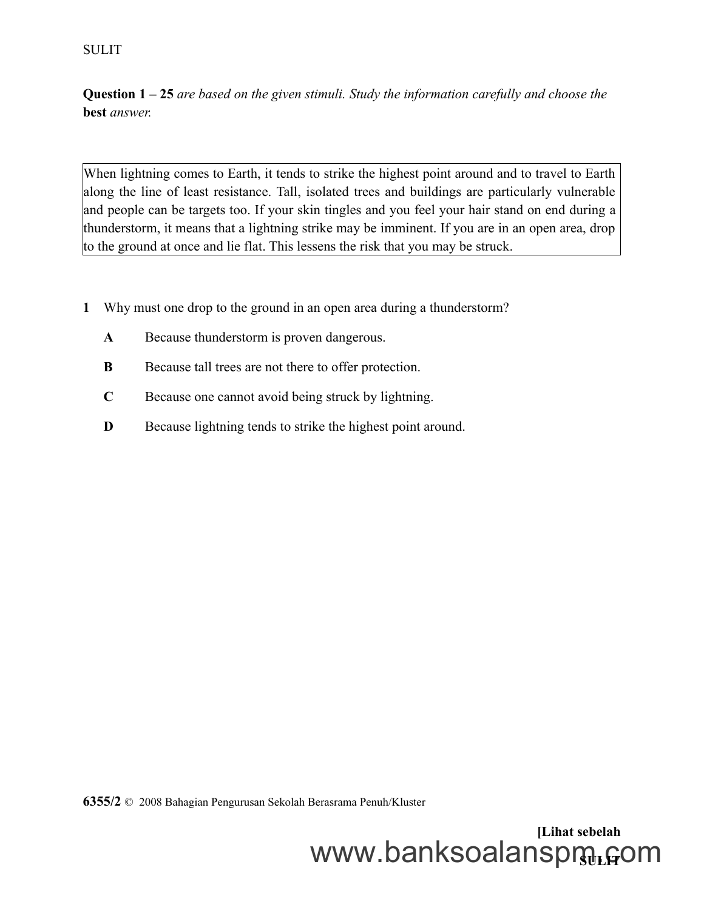**Question 1 – 25** *are based on the given stimuli. Study the information carefully and choose the* **best** *answer.*

When lightning comes to Earth, it tends to strike the highest point around and to travel to Earth along the line of least resistance. Tall, isolated trees and buildings are particularly vulnerable and people can be targets too. If your skin tingles and you feel your hair stand on end during a thunderstorm, it means that a lightning strike may be imminent. If you are in an open area, drop to the ground at once and lie flat. This lessens the risk that you may be struck.

- **1** Why must one drop to the ground in an open area during a thunderstorm?
	- **A** Because thunderstorm is proven dangerous.
	- **B** Because tall trees are not there to offer protection.
	- **C** Because one cannot avoid being struck by lightning.
	- **D** Because lightning tends to strike the highest point around.

**6355/2** © 2008 Bahagian Pengurusan Sekolah Berasrama Penuh/Kluster

**[Lihat sebelah** www.banksoalanspmู<sub>เ</sub>com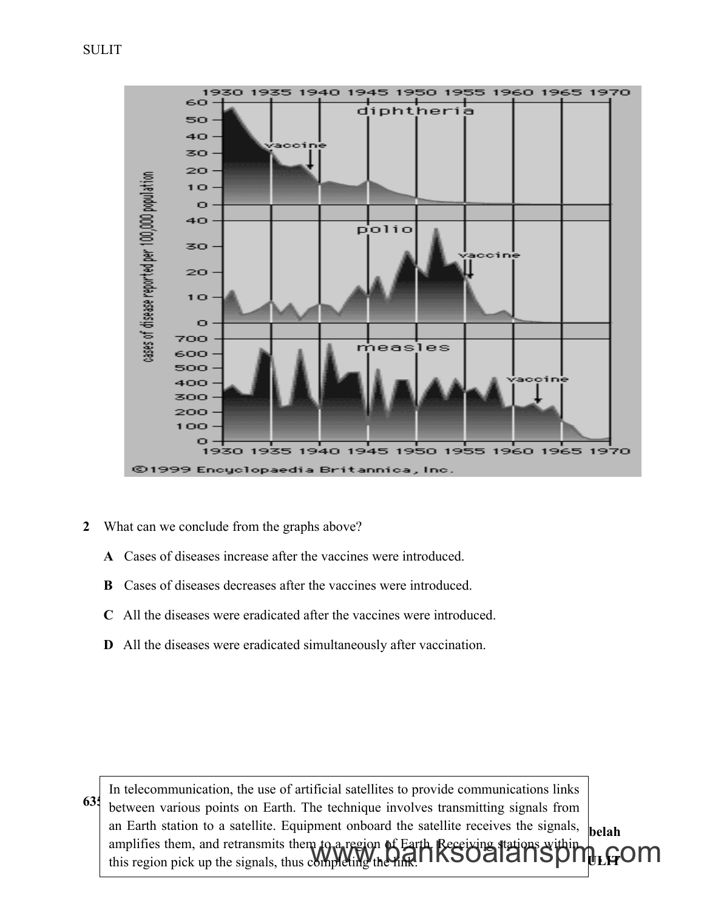

- **2** What can we conclude from the graphs above?
	- **A** Cases of diseases increase after the vaccines were introduced.
	- **B** Cases of diseases decreases after the vaccines were introduced.
	- **C** All the diseases were eradicated after the vaccines were introduced.
	- **D** All the diseases were eradicated simultaneously after vaccination.

**635** between various points on Earth. The technique involves transmitting signals from  $\mathbf{b}$ elah **SULIT** In telecommunication, the use of artificial satellites to provide communications links an Earth station to a satellite. Equipment onboard the satellite receives the signals, amplifies them, and retransmits them to a region of Earth. Receiving stations within amplifies them, and retransmits them to a region of Earth Receiving stations within  $\mu_{\text{LE}}$ OM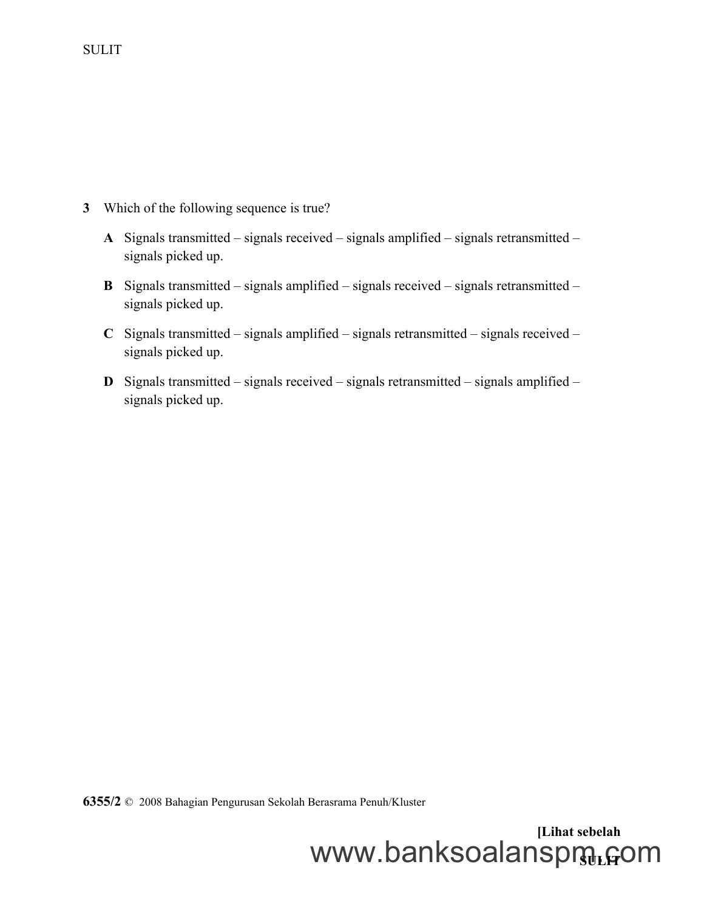- **3** Which of the following sequence is true?
	- **A** Signals transmitted signals received signals amplified signals retransmitted signals picked up.
	- **B** Signals transmitted signals amplified signals received signals retransmitted signals picked up.
	- **C** Signals transmitted signals amplified signals retransmitted signals received signals picked up.
	- **D** Signals transmitted signals received signals retransmitted signals amplified signals picked up.

**6355/2** © 2008 Bahagian Pengurusan Sekolah Berasrama Penuh/Kluster

**[Lihat sebelah** www.banksoalanspmู<sub>เ</sub>com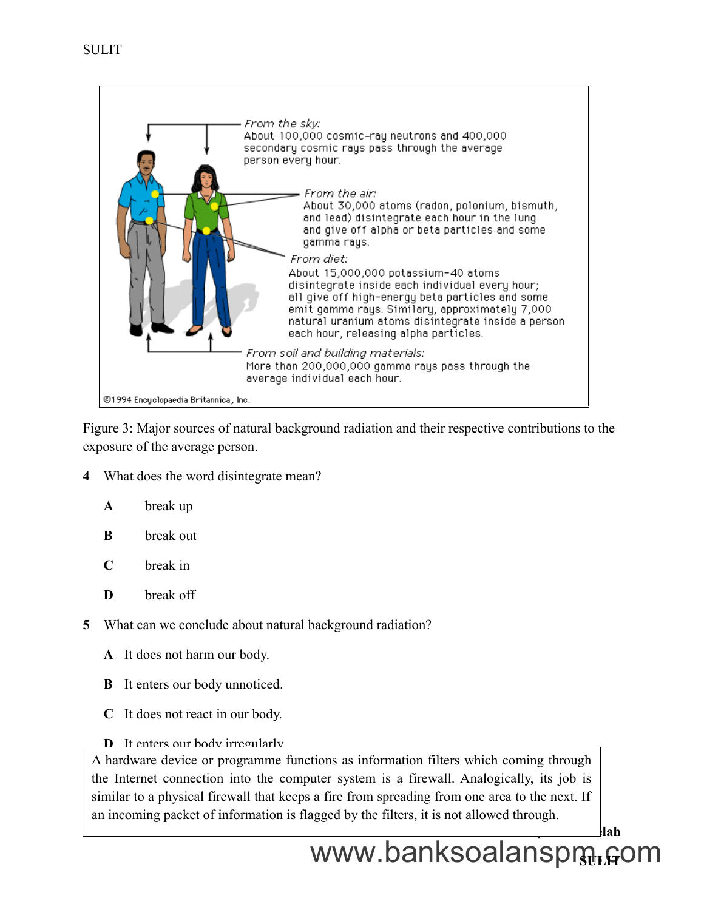

Figure 3: Major sources of natural background radiation and their respective contributions to the exposure of the average person.

**4** What does the word disintegrate mean?

| $\mathbf{A}$ | break up |  |
|--------------|----------|--|
|              |          |  |

- **B** break out
- **C** break in
- **D** break off
- **5** What can we conclude about natural background radiation?
	- **A** It does not harm our body.
	- **B** It enters our body unnoticed.
	- **C** It does not react in our body.
	- **D** It enters our body irregularly

similar to a physical firewall that keeps a fire from spreading from one area to the next. If A hardware device or programme functions as information filters which coming through the Internet connection into the computer system is a firewall. Analogically, its job is an incoming packet of information is flagged by the filters, it is not allowed through.

**[Lihat sebelah**

# www.banksoalanspդյ<sub>ե</sub>գօm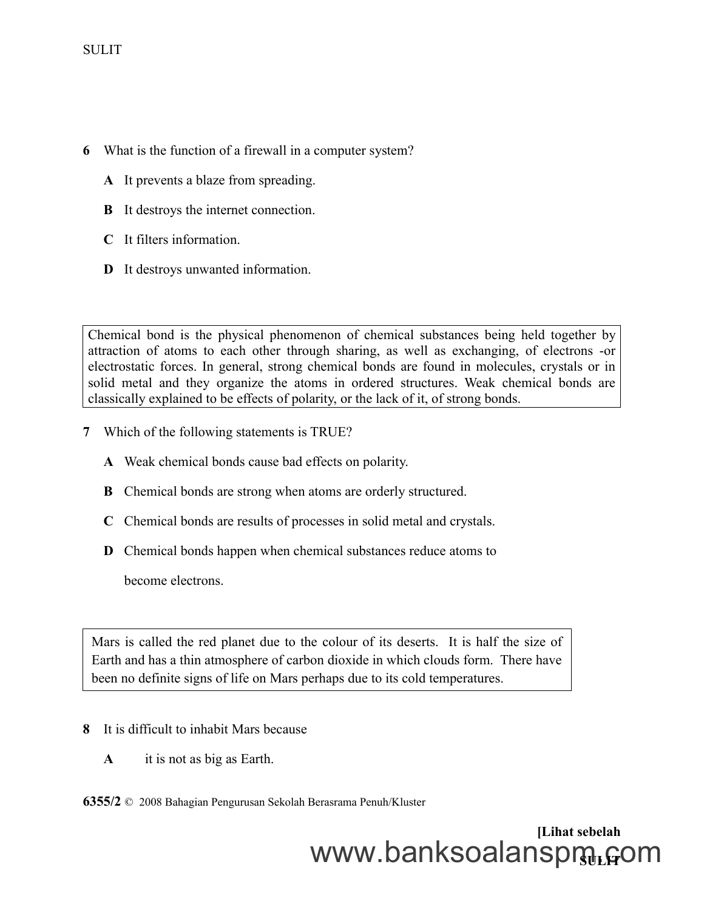- **6** What is the function of a firewall in a computer system?
	- **A** It prevents a blaze from spreading.
	- **B** It destroys the internet connection.
	- **C** It filters information.
	- **D** It destroys unwanted information.

Chemical bond is the physical phenomenon of chemical substances being held together by attraction of atoms to each other through sharing, as well as exchanging, of electrons -or electrostatic forces. In general, strong chemical bonds are found in molecules, crystals or in solid metal and they organize the atoms in ordered structures. Weak chemical bonds are classically explained to be effects of polarity, or the lack of it, of strong bonds.

- **7** Which of the following statements is TRUE?
	- **A** Weak chemical bonds cause bad effects on polarity.
	- **B** Chemical bonds are strong when atoms are orderly structured.
	- **C** Chemical bonds are results of processes in solid metal and crystals.
	- **D** Chemical bonds happen when chemical substances reduce atoms to

become electrons.

Mars is called the red planet due to the colour of its deserts. It is half the size of Earth and has a thin atmosphere of carbon dioxide in which clouds form. There have been no definite signs of life on Mars perhaps due to its cold temperatures.

- **8** It is difficult to inhabit Mars because
	- **A** it is not as big as Earth.

**6355/2** © 2008 Bahagian Pengurusan Sekolah Berasrama Penuh/Kluster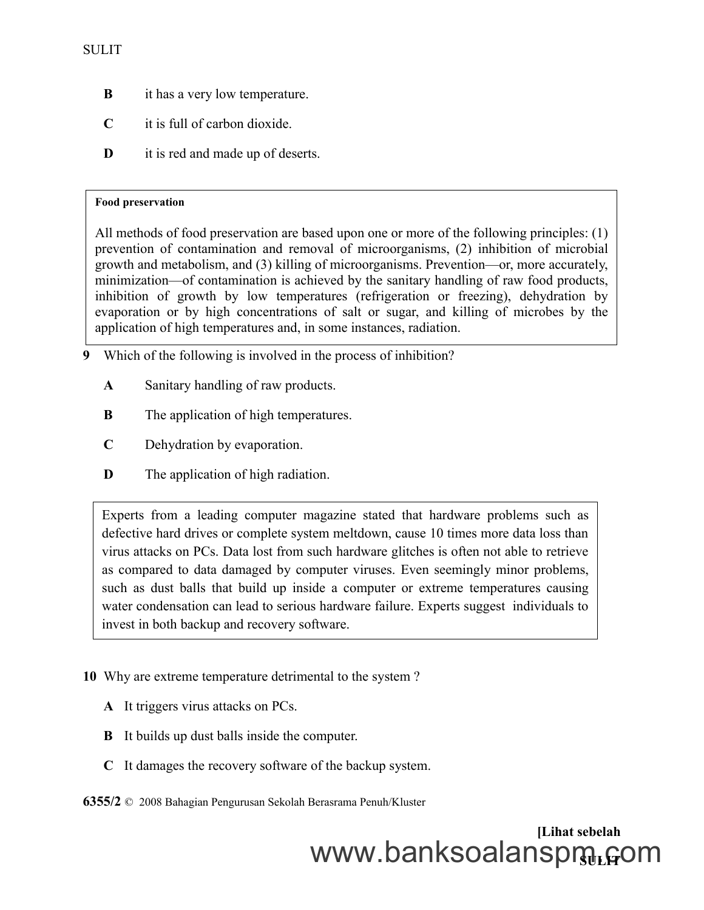- **B** it has a very low temperature.
- **C** it is full of carbon dioxide.
- **D** it is red and made up of deserts.

#### **Food preservation**

All methods of food preservation are based upon one or more of the following principles: (1) prevention of contamination and removal of microorganisms, (2) inhibition of microbial growth and metabolism, and (3) killing of microorganisms. Prevention—or, more accurately, minimization—of contamination is achieved by the sanitary handling of raw food products, inhibition of growth by low temperatures (refrigeration or freezing), dehydration by evaporation or by high concentrations of salt or sugar, and killing of microbes by the application of high temperatures and, in some instances, radiation.

- **9** Which of the following is involved in the process of inhibition?
	- **A** Sanitary handling of raw products.
	- **B** The application of high temperatures.
	- **C** Dehydration by evaporation.
	- **D** The application of high radiation.

Experts from a leading computer magazine stated that hardware problems such as defective hard drives or complete system meltdown, cause 10 times more data loss than virus attacks on PCs. Data lost from such hardware glitches is often not able to retrieve as compared to data damaged by computer viruses. Even seemingly minor problems, such as dust balls that build up inside a computer or extreme temperatures causing water condensation can lead to serious hardware failure. Experts suggest individuals to invest in both backup and recovery software.

- **10** Why are extreme temperature detrimental to the system ?
	- **A** It triggers virus attacks on PCs.
	- **B** It builds up dust balls inside the computer.
	- **C** It damages the recovery software of the backup system.

**6355/2** © 2008 Bahagian Pengurusan Sekolah Berasrama Penuh/Kluster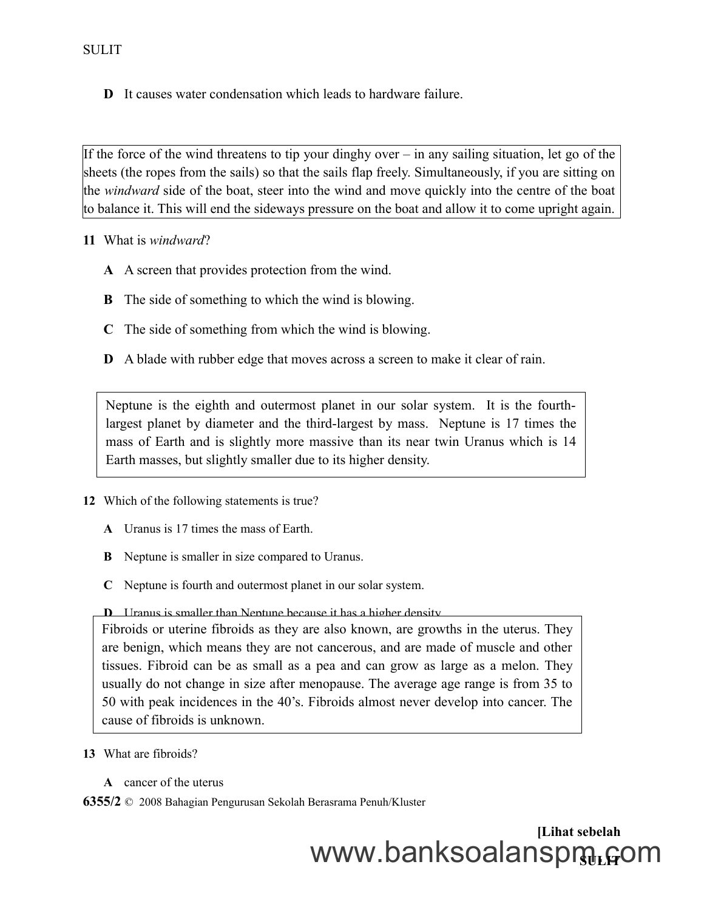**D** It causes water condensation which leads to hardware failure.

If the force of the wind threatens to tip your dinghy over  $-$  in any sailing situation, let go of the sheets (the ropes from the sails) so that the sails flap freely. Simultaneously, if you are sitting on the *windward* side of the boat, steer into the wind and move quickly into the centre of the boat to balance it. This will end the sideways pressure on the boat and allow it to come upright again.

**11** What is *windward*?

- **A** A screen that provides protection from the wind.
- **B** The side of something to which the wind is blowing.
- **C** The side of something from which the wind is blowing.
- **D** A blade with rubber edge that moves across a screen to make it clear of rain.

Neptune is the eighth and outermost planet in our solar system. It is the fourthlargest planet by diameter and the third-largest by mass. Neptune is 17 times the mass of Earth and is slightly more massive than its near twin Uranus which is 14 Earth masses, but slightly smaller due to its higher density.

- **12** Which of the following statements is true?
	- **A** Uranus is 17 times the mass of Earth.
	- **B** Neptune is smaller in size compared to Uranus.
	- **C** Neptune is fourth and outermost planet in our solar system.

#### **D** Uranus is smaller than Neptune because it has a higher density.

Fibroids or uterine fibroids as they are also known, are growths in the uterus. They are benign, which means they are not cancerous, and are made of muscle and other tissues. Fibroid can be as small as a pea and can grow as large as a melon. They usually do not change in size after menopause. The average age range is from 35 to 50 with peak incidences in the 40's. Fibroids almost never develop into cancer. The cause of fibroids is unknown.

- **13** What are fibroids?
	- **A** cancer of the uterus

**6355/2** © 2008 Bahagian Pengurusan Sekolah Berasrama Penuh/Kluster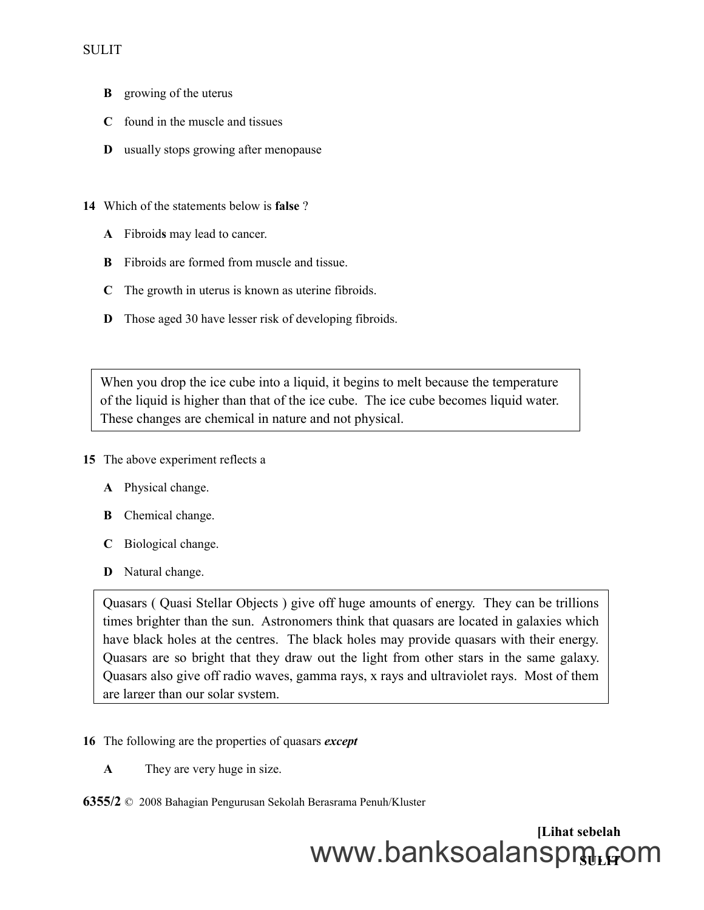- **B** growing of the uterus
- **C** found in the muscle and tissues
- **D** usually stops growing after menopause
- **14** Which of the statements below is **false** ?
	- **A** Fibroid**s** may lead to cancer.
	- **B** Fibroids are formed from muscle and tissue.
	- **C** The growth in uterus is known as uterine fibroids.
	- **D** Those aged 30 have lesser risk of developing fibroids.

When you drop the ice cube into a liquid, it begins to melt because the temperature of the liquid is higher than that of the ice cube. The ice cube becomes liquid water. These changes are chemical in nature and not physical.

- **15** The above experiment reflects a
	- **A** Physical change.
	- **B** Chemical change.
	- **C** Biological change.
	- **D** Natural change.

Quasars ( Quasi Stellar Objects ) give off huge amounts of energy. They can be trillions times brighter than the sun. Astronomers think that quasars are located in galaxies which have black holes at the centres. The black holes may provide quasars with their energy. Quasars are so bright that they draw out the light from other stars in the same galaxy. Quasars also give off radio waves, gamma rays, x rays and ultraviolet rays. Most of them are larger than our solar system.

- **16** The following are the properties of quasars *except*
	- **A** They are very huge in size.
- **6355/2** © 2008 Bahagian Pengurusan Sekolah Berasrama Penuh/Kluster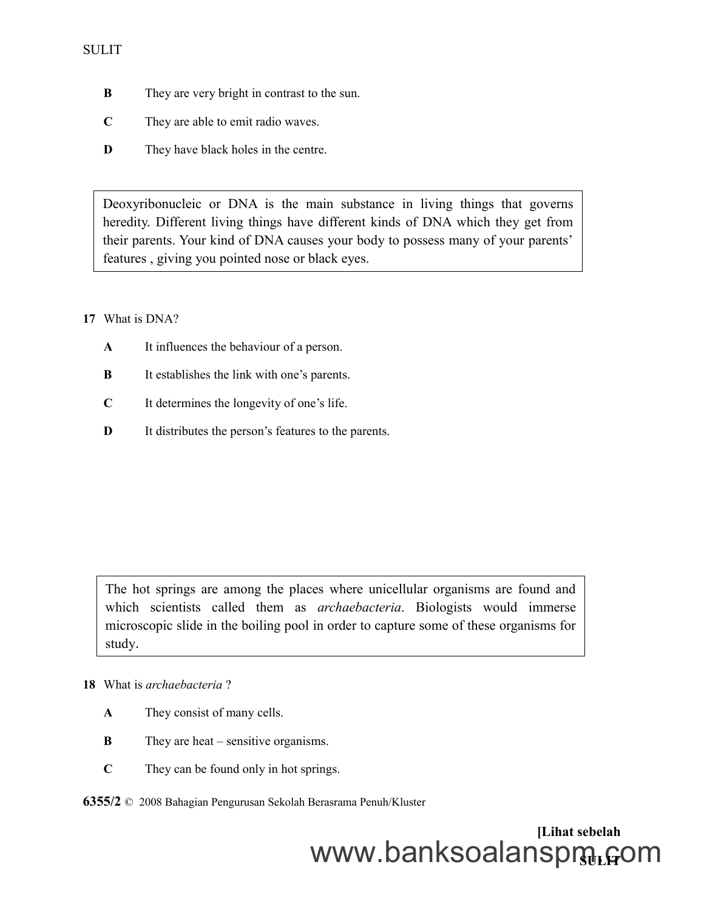- **B** They are very bright in contrast to the sun.
- **C** They are able to emit radio waves.
- **D** They have black holes in the centre.

Deoxyribonucleic or DNA is the main substance in living things that governs heredity. Different living things have different kinds of DNA which they get from their parents. Your kind of DNA causes your body to possess many of your parents' features , giving you pointed nose or black eyes.

#### **17** What is DNA?

- **A** It influences the behaviour of a person.
- **B** It establishes the link with one's parents.
- **C** It determines the longevity of one's life.
- **D** It distributes the person's features to the parents.

The hot springs are among the places where unicellular organisms are found and which scientists called them as *archaebacteria*. Biologists would immerse microscopic slide in the boiling pool in order to capture some of these organisms for study.

#### **18** What is *archaebacteria* ?

- **A** They consist of many cells.
- **B** They are heat sensitive organisms.
- **C** They can be found only in hot springs.

**6355/2** © 2008 Bahagian Pengurusan Sekolah Berasrama Penuh/Kluster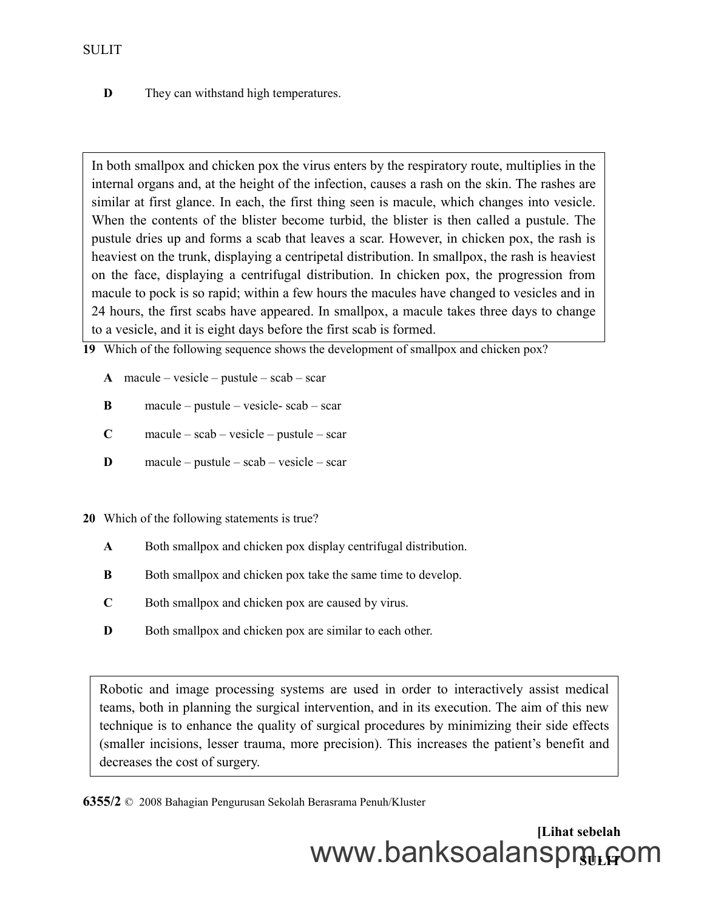**D** They can withstand high temperatures.

In both smallpox and chicken pox the virus enters by the respiratory route, multiplies in the internal organs and, at the height of the infection, causes a rash on the skin. The rashes are similar at first glance. In each, the first thing seen is macule, which changes into vesicle. When the contents of the blister become turbid, the blister is then called a pustule. The pustule dries up and forms a scab that leaves a scar. However, in chicken pox, the rash is heaviest on the trunk, displaying a centripetal distribution. In smallpox, the rash is heaviest on the face, displaying a centrifugal distribution. In chicken pox, the progression from macule to pock is so rapid; within a few hours the macules have changed to vesicles and in 24 hours, the first scabs have appeared. In smallpox, a macule takes three days to change to a vesicle, and it is eight days before the first scab is formed.

**19** Which of the following sequence shows the development of smallpox and chicken pox?

- **A** macule vesicle pustule scab scar
- **B** macule pustule vesicle- scab scar
- **C** macule scab vesicle pustule scar
- **D** macule pustule scab vesicle scar
- **20** Which of the following statements is true?
	- **A** Both smallpox and chicken pox display centrifugal distribution.
	- **B** Both smallpox and chicken pox take the same time to develop.
	- **C** Both smallpox and chicken pox are caused by virus.
	- **D** Both smallpox and chicken pox are similar to each other.

Robotic and image processing systems are used in order to interactively assist medical teams, both in planning the surgical intervention, and in its execution. The aim of this new technique is to enhance the quality of surgical procedures by minimizing their side effects (smaller incisions, lesser trauma, more precision). This increases the patient's benefit and decreases the cost of surgery.

**6355/2** © 2008 Bahagian Pengurusan Sekolah Berasrama Penuh/Kluster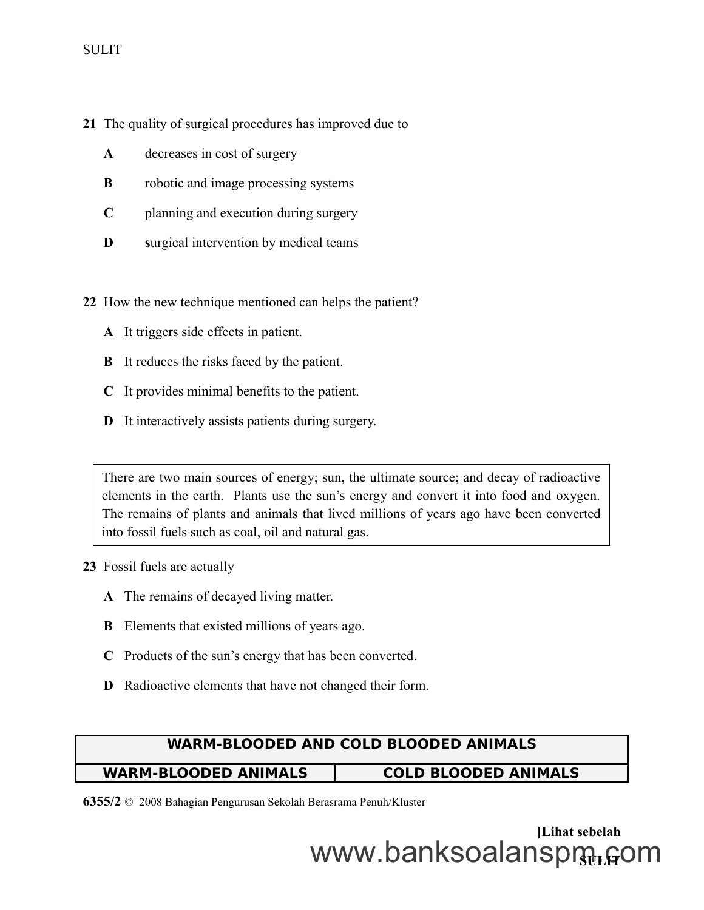- **21** The quality of surgical procedures has improved due to
	- **A** decreases in cost of surgery
	- **B** robotic and image processing systems
	- **C** planning and execution during surgery
	- **D s**urgical intervention by medical teams
- **22** How the new technique mentioned can helps the patient?
	- **A** It triggers side effects in patient.
	- **B** It reduces the risks faced by the patient.
	- **C** It provides minimal benefits to the patient.
	- **D** It interactively assists patients during surgery.

There are two main sources of energy; sun, the ultimate source; and decay of radioactive elements in the earth. Plants use the sun's energy and convert it into food and oxygen. The remains of plants and animals that lived millions of years ago have been converted into fossil fuels such as coal, oil and natural gas.

- **23** Fossil fuels are actually
	- **A** The remains of decayed living matter.
	- **B** Elements that existed millions of years ago.
	- **C** Products of the sun's energy that has been converted.
	- **D** Radioactive elements that have not changed their form.

#### **WARM-BLOODED AND COLD BLOODED ANIMALS**

#### **WARM-BLOODED ANIMALS COLD BLOODED ANIMALS**

**6355/2** © 2008 Bahagian Pengurusan Sekolah Berasrama Penuh/Kluster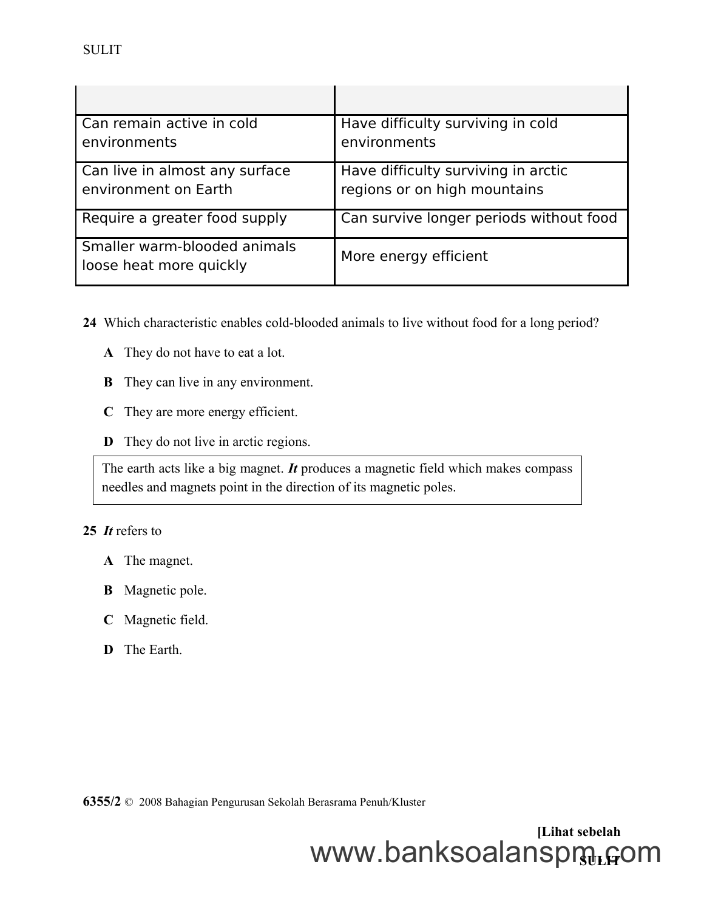| Can remain active in cold<br>environments               | Have difficulty surviving in cold<br>environments |
|---------------------------------------------------------|---------------------------------------------------|
|                                                         |                                                   |
| Can live in almost any surface                          | Have difficulty surviving in arctic               |
| environment on Earth                                    | regions or on high mountains                      |
| Require a greater food supply                           | Can survive longer periods without food           |
| Smaller warm-blooded animals<br>loose heat more quickly | More energy efficient                             |

**24** Which characteristic enables cold-blooded animals to live without food for a long period?

- **A** They do not have to eat a lot.
- **B** They can live in any environment.
- **C** They are more energy efficient.
- **D** They do not live in arctic regions.

The earth acts like a big magnet. *It* produces a magnetic field which makes compass needles and magnets point in the direction of its magnetic poles.

#### **25** *It* refers to

- **A** The magnet.
- **B** Magnetic pole.
- **C** Magnetic field.
- **D** The Earth.

**6355/2** © 2008 Bahagian Pengurusan Sekolah Berasrama Penuh/Kluster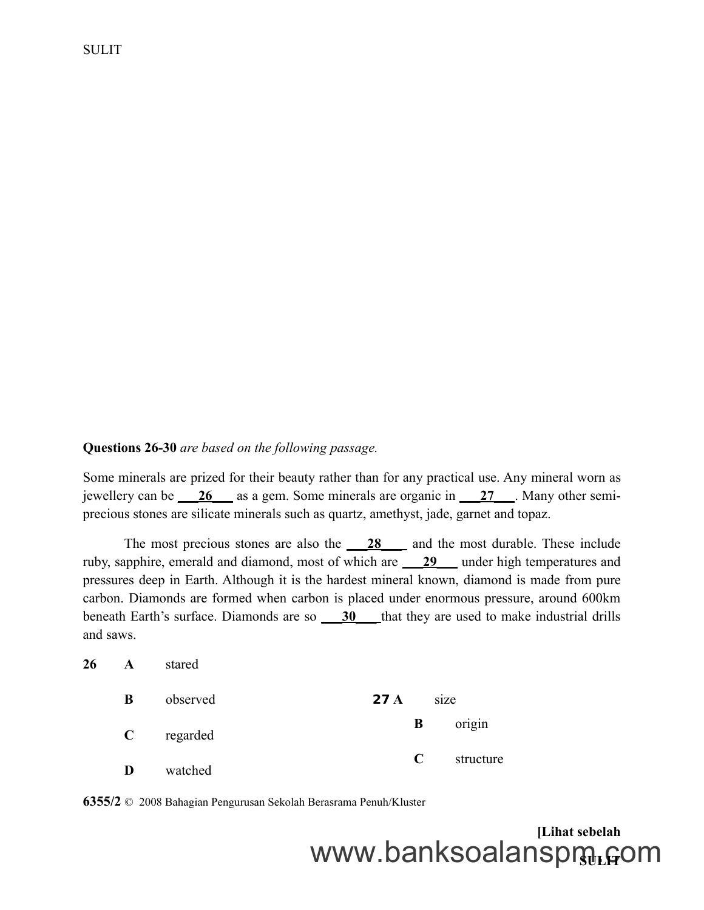#### **Questions 26-30** *are based on the following passage.*

Some minerals are prized for their beauty rather than for any practical use. Any mineral worn as jewellery can be \_\_\_ **26** \_\_\_ as a gem. Some minerals are organic in \_\_\_ **27** \_\_\_. Many other semiprecious stones are silicate minerals such as quartz, amethyst, jade, garnet and topaz.

The most precious stones are also the <u>28</u> and the most durable. These include ruby, sapphire, emerald and diamond, most of which are \_\_\_ **29** \_\_\_ under high temperatures and pressures deep in Earth. Although it is the hardest mineral known, diamond is made from pure carbon. Diamonds are formed when carbon is placed under enormous pressure, around 600km beneath Earth's surface. Diamonds are so \_\_\_ **30** \_\_\_that they are used to make industrial drills and saws.

| 26 | A            | stared   |                 |           |
|----|--------------|----------|-----------------|-----------|
|    | B            | observed | 27 <sub>A</sub> | size      |
|    | $\mathbf{C}$ | regarded | B               | origin    |
|    | D            | watched  | $\mathbf C$     | structure |

**6355/2** © 2008 Bahagian Pengurusan Sekolah Berasrama Penuh/Kluster

# **[Lihat sebelah** www.banksoalanspmู<sub>เ</sub>com